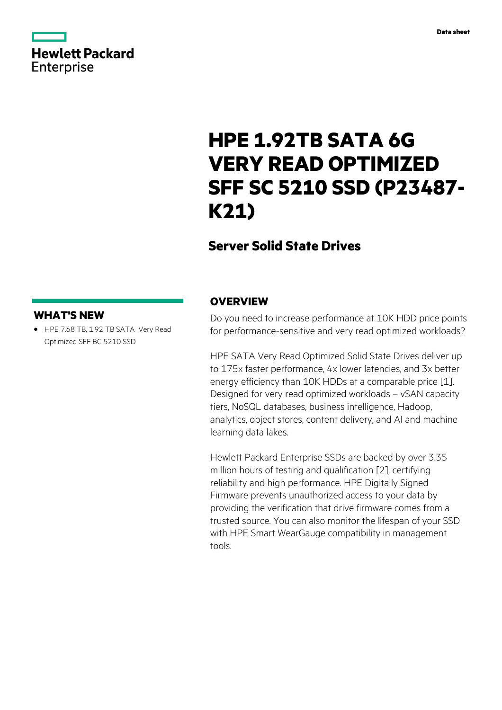

|                   | <b>Hewlett Packard</b> |
|-------------------|------------------------|
| <b>Enterprise</b> |                        |

# **HPE 1.92TB SATA 6G VERY READ OPTIMIZED SFF SC 5210 SSD (P23487- K21)**

## **Server Solid State Drives**

### **WHAT'S NEW**

**·** HPE 7.68 TB, 1.92 TB SATA Very Read Optimized SFF BC 5210 SSD

### **OVERVIEW**

Do you need to increase performance at 10K HDD price points for performance-sensitive and very read optimized workloads?

HPE SATA Very Read Optimized Solid State Drives deliver up to 175x faster performance, 4x lower latencies, and 3x better energy efficiency than 10K HDDs at a comparable price [1]. Designed for very read optimized workloads – vSAN capacity tiers, NoSQL databases, business intelligence, Hadoop, analytics, object stores, content delivery, and AI and machine learning data lakes.

Hewlett Packard Enterprise SSDs are backed by over 3.35 million hours of testing and qualification [2], certifying reliability and high performance. HPE Digitally Signed Firmware prevents unauthorized access to your data by providing the verification that drive firmware comes from a trusted source. You can also monitor the lifespan of your SSD with HPE Smart WearGauge compatibility in management tools.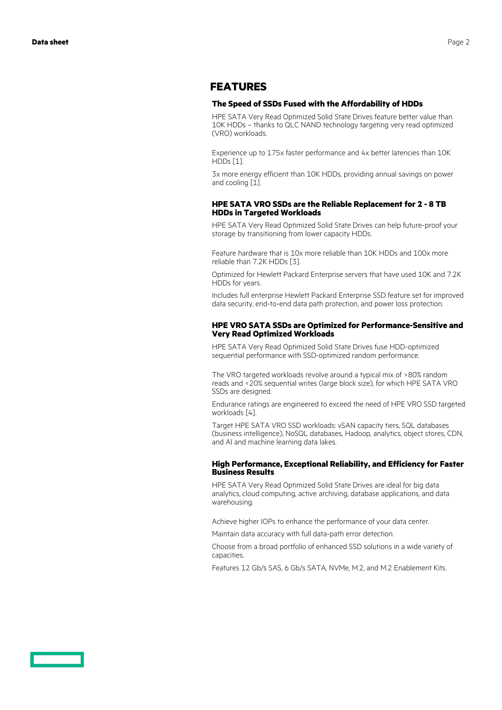### **FEATURES**

#### **The Speed of SSDs Fused with the Affordability of HDDs**

HPE SATA Very Read Optimized Solid State Drives feature better value than 10K HDDs – thanks to QLC NAND technology targeting very read optimized (VRO) workloads.

Experience up to 175x faster performance and 4x better latencies than 10K HDDs [1].

3x more energy efficient than 10K HDDs, providing annual savings on power and cooling [1].

#### **HPE SATA VRO SSDs are the Reliable Replacement for 2 - 8 TB HDDs in Targeted Workloads**

HPE SATA Very Read Optimized Solid State Drives can help future-proof your storage by transitioning from lower capacity HDDs.

Feature hardware that is 10x more reliable than 10K HDDs and 100x more reliable than 7.2K HDDs [3].

Optimized for Hewlett Packard Enterprise servers that have used 10K and 7.2K HDDs for years.

Includes full enterprise Hewlett Packard Enterprise SSD feature set for improved data security, end-to-end data path protection, and power loss protection.

#### **HPE VRO SATA SSDs are Optimized for Performance-Sensitive and Very Read Optimized Workloads**

HPE SATA Very Read Optimized Solid State Drives fuse HDD-optimized sequential performance with SSD-optimized random performance.

The VRO targeted workloads revolve around a typical mix of >80% random reads and <20% sequential writes (large block size), for which HPE SATA VRO SSDs are designed.

Endurance ratings are engineered to exceed the need of HPE VRO SSD targeted workloads [4].

Target HPE SATA VRO SSD workloads: vSAN capacity tiers, SQL databases (business intelligence), NoSQL databases, Hadoop, analytics, object stores, CDN, and AI and machine learning data lakes.

#### **High Performance, Exceptional Reliability, and Efficiency for Faster Business Results**

HPE SATA Very Read Optimized Solid State Drives are ideal for big data analytics, cloud computing, active archiving, database applications, and data warehousing.

Achieve higher IOPs to enhance the performance of your data center.

Maintain data accuracy with full data-path error detection.

Choose from a broad portfolio of enhanced SSD solutions in a wide variety of capacities.

Features 12 Gb/s SAS, 6 Gb/s SATA, NVMe, M.2, and M.2 Enablement Kits.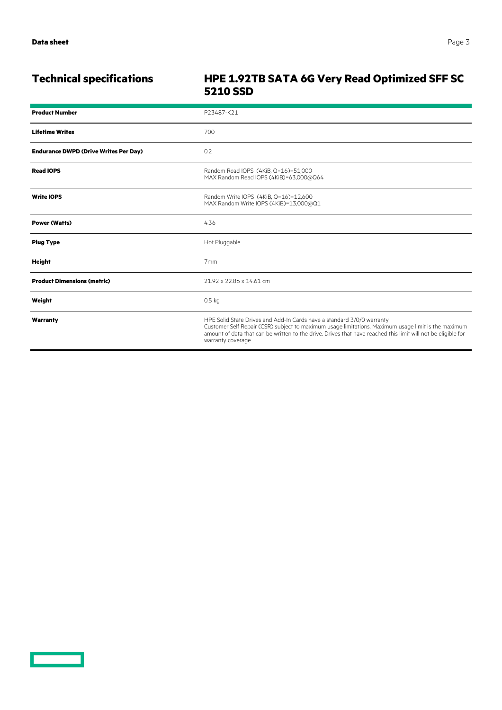<u>and the second part of the second part of the second part of the second part of the second part of the second part of the second part of the second part of the second part of the second part of the second part of the seco</u>

### **Technical specifications HPE 1.92TB SATA 6G Very Read Optimized SFF SC 5210 SSD**

| <b>Product Number</b>                        | P23487-K21                                                                                                                                                                                                                                                                                                           |
|----------------------------------------------|----------------------------------------------------------------------------------------------------------------------------------------------------------------------------------------------------------------------------------------------------------------------------------------------------------------------|
| <b>Lifetime Writes</b>                       | 700                                                                                                                                                                                                                                                                                                                  |
| <b>Endurance DWPD (Drive Writes Per Day)</b> | 0.2                                                                                                                                                                                                                                                                                                                  |
| <b>Read IOPS</b>                             | Random Read IOPS (4KiB, Q=16)=51,000<br>MAX Random Read IOPS (4KiB)=63,000@Q64                                                                                                                                                                                                                                       |
| <b>Write IOPS</b>                            | Random Write IOPS (4KiB, Q=16)=12,600<br>MAX Random Write IOPS (4KiB)=13,000@Q1                                                                                                                                                                                                                                      |
| <b>Power (Watts)</b>                         | 4.36                                                                                                                                                                                                                                                                                                                 |
| <b>Plug Type</b>                             | Hot Pluggable                                                                                                                                                                                                                                                                                                        |
| <b>Height</b>                                | 7 <sub>mm</sub>                                                                                                                                                                                                                                                                                                      |
| <b>Product Dimensions (metric)</b>           | 21.92 x 22.86 x 14.61 cm                                                                                                                                                                                                                                                                                             |
| Weight                                       | 0.5 <sub>kq</sub>                                                                                                                                                                                                                                                                                                    |
| Warranty                                     | HPE Solid State Drives and Add-In Cards have a standard 3/0/0 warranty<br>Customer Self Repair (CSR) subject to maximum usage limitations. Maximum usage limit is the maximum<br>amount of data that can be written to the drive. Drives that have reached this limit will not be eligible for<br>warranty coverage. |